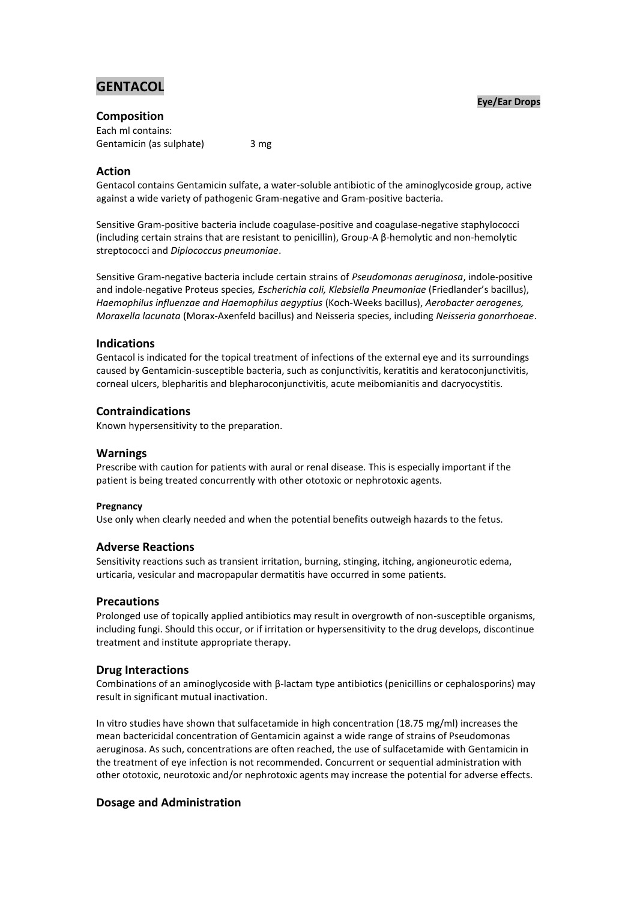# **GENTACOL**

#### **Eye/Ear Drops**

**Composition** Each ml contains: Gentamicin (as sulphate) 3 mg

#### **Action**

Gentacol contains Gentamicin sulfate, a water-soluble antibiotic of the aminoglycoside group, active against a wide variety of pathogenic Gram-negative and Gram-positive bacteria.

Sensitive Gram-positive bacteria include coagulase-positive and coagulase-negative staphylococci (including certain strains that are resistant to penicillin), Group-A β-hemolytic and non-hemolytic streptococci and *Diplococcus pneumoniae*.

Sensitive Gram-negative bacteria include certain strains of *Pseudomonas aeruginosa*, indole-positive and indole-negative Proteus species*, Escherichia coli, Klebsiella Pneumoniae* (Friedlander's bacillus), *Haemophilus influenzae and Haemophilus aegyptius* (Koch-Weeks bacillus), *Aerobacter aerogenes, Moraxella lacunata* (Morax-Axenfeld bacillus) and Neisseria species, including *Neisseria gonorrhoeae*.

## **Indications**

Gentacol is indicated for the topical treatment of infections of the external eye and its surroundings caused by Gentamicin-susceptible bacteria, such as conjunctivitis, keratitis and keratoconjunctivitis, corneal ulcers, blepharitis and blepharoconjunctivitis, acute meibomianitis and dacryocystitis.

## **Contraindications**

Known hypersensitivity to the preparation.

#### **Warnings**

Prescribe with caution for patients with aural or renal disease. This is especially important if the patient is being treated concurrently with other ototoxic or nephrotoxic agents.

#### **Pregnancy**

Use only when clearly needed and when the potential benefits outweigh hazards to the fetus.

#### **Adverse Reactions**

Sensitivity reactions such as transient irritation, burning, stinging, itching, angioneurotic edema, urticaria, vesicular and macropapular dermatitis have occurred in some patients.

#### **Precautions**

Prolonged use of topically applied antibiotics may result in overgrowth of non-susceptible organisms, including fungi. Should this occur, or if irritation or hypersensitivity to the drug develops, discontinue treatment and institute appropriate therapy.

#### **Drug Interactions**

Combinations of an aminoglycoside with β-lactam type antibiotics (penicillins or cephalosporins) may result in significant mutual inactivation.

In vitro studies have shown that sulfacetamide in high concentration (18.75 mg/ml) increases the mean bactericidal concentration of Gentamicin against a wide range of strains of Pseudomonas aeruginosa. As such, concentrations are often reached, the use of sulfacetamide with Gentamicin in the treatment of eye infection is not recommended. Concurrent or sequential administration with other ototoxic, neurotoxic and/or nephrotoxic agents may increase the potential for adverse effects.

# **Dosage and Administration**